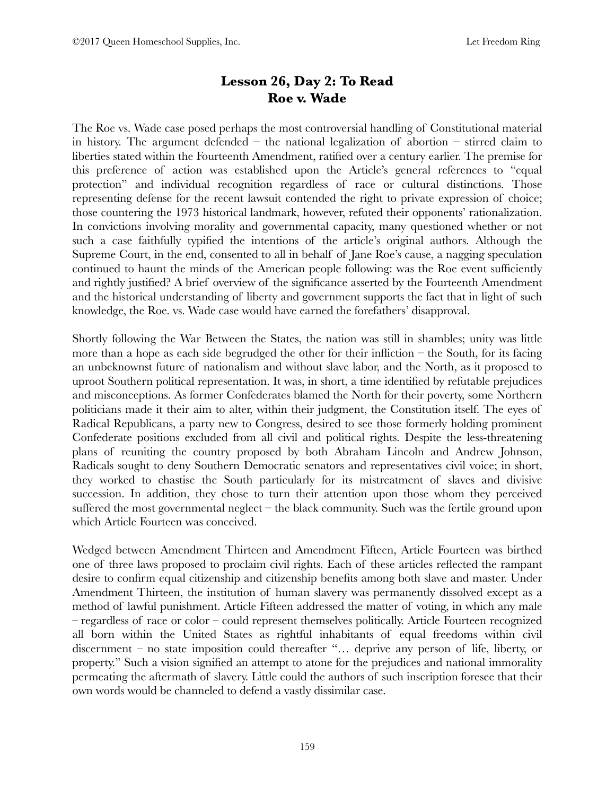# **Lesson 26, Day 2: To Read Roe v. Wade**

The Roe vs. Wade case posed perhaps the most controversial handling of Constitutional material in history. The argument defended – the national legalization of abortion – stirred claim to liberties stated within the Fourteenth Amendment, ratified over a century earlier. The premise for this preference of action was established upon the Article's general references to "equal protection" and individual recognition regardless of race or cultural distinctions. Those representing defense for the recent lawsuit contended the right to private expression of choice; those countering the 1973 historical landmark, however, refuted their opponents' rationalization. In convictions involving morality and governmental capacity, many questioned whether or not such a case faithfully typified the intentions of the article's original authors. Although the Supreme Court, in the end, consented to all in behalf of Jane Roe's cause, a nagging speculation continued to haunt the minds of the American people following: was the Roe event sufficiently and rightly justified? A brief overview of the significance asserted by the Fourteenth Amendment and the historical understanding of liberty and government supports the fact that in light of such knowledge, the Roe. vs. Wade case would have earned the forefathers' disapproval.

Shortly following the War Between the States, the nation was still in shambles; unity was little more than a hope as each side begrudged the other for their infliction  $-$  the South, for its facing an unbeknownst future of nationalism and without slave labor, and the North, as it proposed to uproot Southern political representation. It was, in short, a time identified by refutable prejudices and misconceptions. As former Confederates blamed the North for their poverty, some Northern politicians made it their aim to alter, within their judgment, the Constitution itself. The eyes of Radical Republicans, a party new to Congress, desired to see those formerly holding prominent Confederate positions excluded from all civil and political rights. Despite the less-threatening plans of reuniting the country proposed by both Abraham Lincoln and Andrew Johnson, Radicals sought to deny Southern Democratic senators and representatives civil voice; in short, they worked to chastise the South particularly for its mistreatment of slaves and divisive succession. In addition, they chose to turn their attention upon those whom they perceived suffered the most governmental neglect – the black community. Such was the fertile ground upon which Article Fourteen was conceived.

Wedged between Amendment Thirteen and Amendment Fifteen, Article Fourteen was birthed one of three laws proposed to proclaim civil rights. Each of these articles reflected the rampant desire to confirm equal citizenship and citizenship benefits among both slave and master. Under Amendment Thirteen, the institution of human slavery was permanently dissolved except as a method of lawful punishment. Article Fifteen addressed the matter of voting, in which any male – regardless of race or color – could represent themselves politically. Article Fourteen recognized all born within the United States as rightful inhabitants of equal freedoms within civil discernment – no state imposition could thereafter "… deprive any person of life, liberty, or property." Such a vision signified an attempt to atone for the prejudices and national immorality permeating the aftermath of slavery. Little could the authors of such inscription foresee that their own words would be channeled to defend a vastly dissimilar case.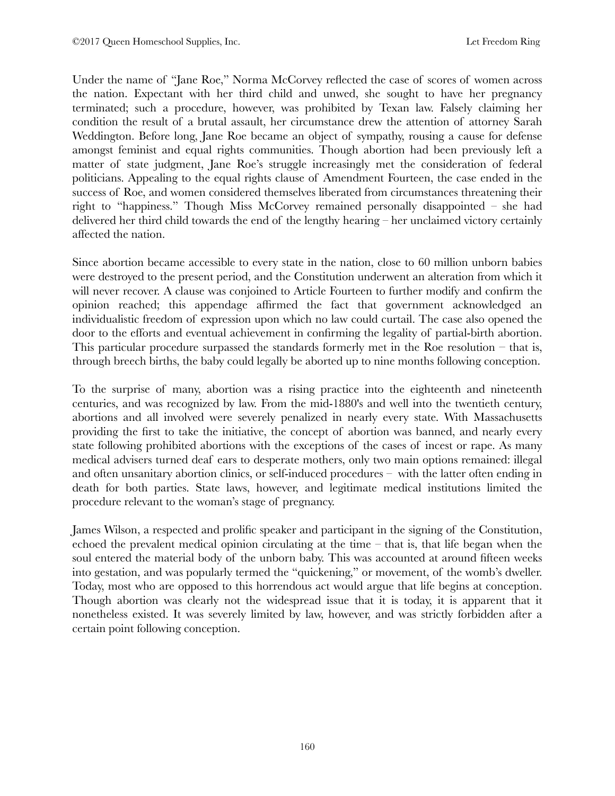Under the name of "Jane Roe," Norma McCorvey reflected the case of scores of women across the nation. Expectant with her third child and unwed, she sought to have her pregnancy terminated; such a procedure, however, was prohibited by Texan law. Falsely claiming her condition the result of a brutal assault, her circumstance drew the attention of attorney Sarah Weddington. Before long, Jane Roe became an object of sympathy, rousing a cause for defense amongst feminist and equal rights communities. Though abortion had been previously left a matter of state judgment, Jane Roe's struggle increasingly met the consideration of federal politicians. Appealing to the equal rights clause of Amendment Fourteen, the case ended in the success of Roe, and women considered themselves liberated from circumstances threatening their right to "happiness." Though Miss McCorvey remained personally disappointed – she had delivered her third child towards the end of the lengthy hearing – her unclaimed victory certainly affected the nation.

Since abortion became accessible to every state in the nation, close to 60 million unborn babies were destroyed to the present period, and the Constitution underwent an alteration from which it will never recover. A clause was conjoined to Article Fourteen to further modify and confirm the opinion reached; this appendage affirmed the fact that government acknowledged an individualistic freedom of expression upon which no law could curtail. The case also opened the door to the efforts and eventual achievement in confirming the legality of partial-birth abortion. This particular procedure surpassed the standards formerly met in the Roe resolution – that is, through breech births, the baby could legally be aborted up to nine months following conception.

To the surprise of many, abortion was a rising practice into the eighteenth and nineteenth centuries, and was recognized by law. From the mid-1880's and well into the twentieth century, abortions and all involved were severely penalized in nearly every state. With Massachusetts providing the first to take the initiative, the concept of abortion was banned, and nearly every state following prohibited abortions with the exceptions of the cases of incest or rape. As many medical advisers turned deaf ears to desperate mothers, only two main options remained: illegal and often unsanitary abortion clinics, or self-induced procedures – with the latter often ending in death for both parties. State laws, however, and legitimate medical institutions limited the procedure relevant to the woman's stage of pregnancy.

James Wilson, a respected and prolific speaker and participant in the signing of the Constitution, echoed the prevalent medical opinion circulating at the time – that is, that life began when the soul entered the material body of the unborn baby. This was accounted at around fifteen weeks into gestation, and was popularly termed the "quickening," or movement, of the womb's dweller. Today, most who are opposed to this horrendous act would argue that life begins at conception. Though abortion was clearly not the widespread issue that it is today, it is apparent that it nonetheless existed. It was severely limited by law, however, and was strictly forbidden after a certain point following conception.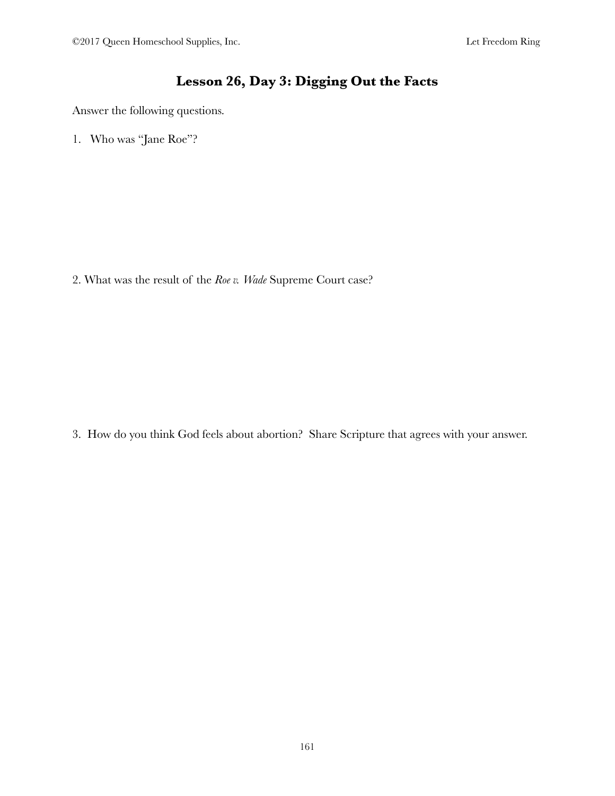# **Lesson 26, Day 3: Digging Out the Facts**

Answer the following questions.

1. Who was "Jane Roe"?

2. What was the result of the *Roe v. Wade* Supreme Court case?

3. How do you think God feels about abortion? Share Scripture that agrees with your answer.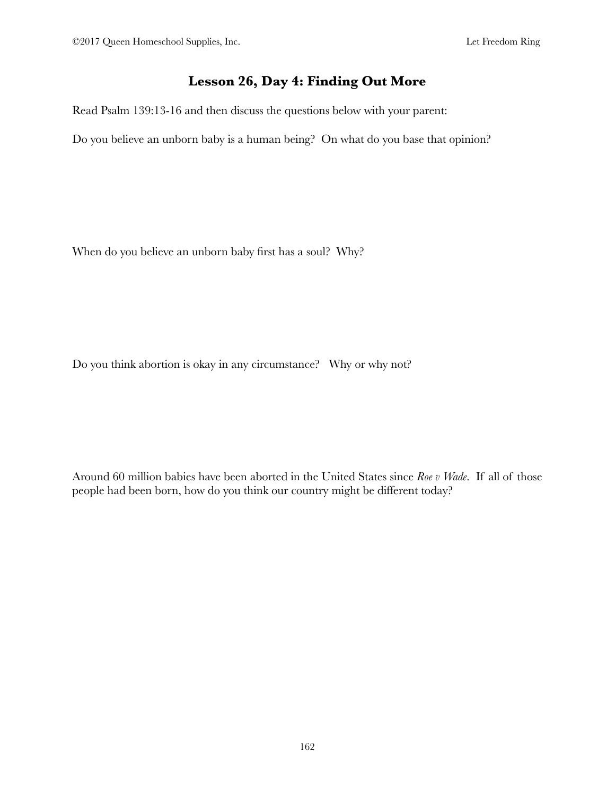#### **Lesson 26, Day 4: Finding Out More**

Read Psalm 139:13-16 and then discuss the questions below with your parent:

Do you believe an unborn baby is a human being? On what do you base that opinion?

When do you believe an unborn baby first has a soul? Why?

Do you think abortion is okay in any circumstance? Why or why not?

Around 60 million babies have been aborted in the United States since *Roe v Wade*. If all of those people had been born, how do you think our country might be different today?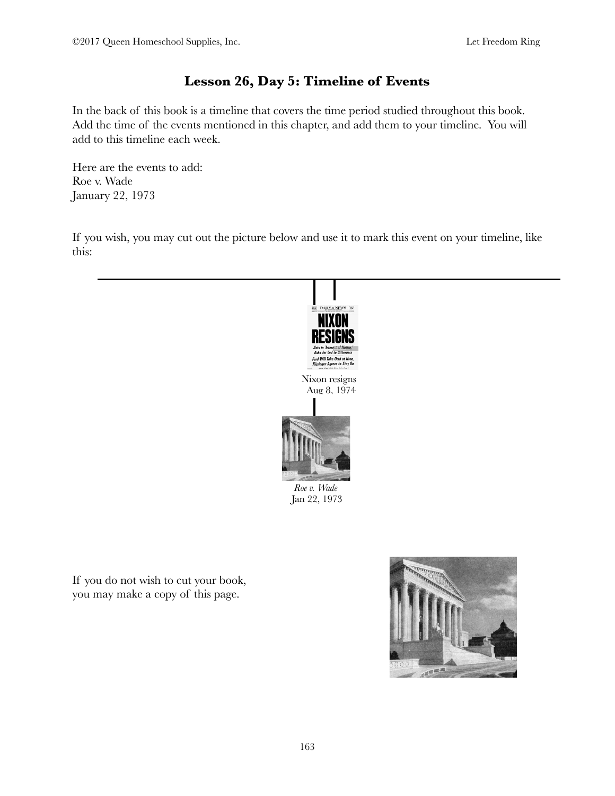# **Lesson 26, Day 5: Timeline of Events**

In the back of this book is a timeline that covers the time period studied throughout this book. Add the time of the events mentioned in this chapter, and add them to your timeline. You will add to this timeline each week.

Here are the events to add: Roe v. Wade January 22, 1973

If you wish, you may cut out the picture below and use it to mark this event on your timeline, like this:



If you do not wish to cut your book, you may make a copy of this page.

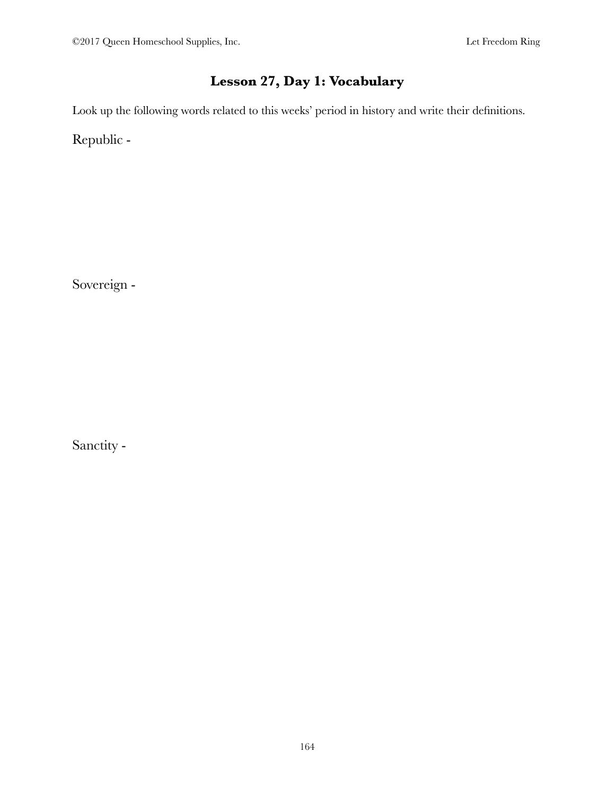# **Lesson 27, Day 1: Vocabulary**

Look up the following words related to this weeks' period in history and write their definitions.

Republic -

Sovereign -

Sanctity -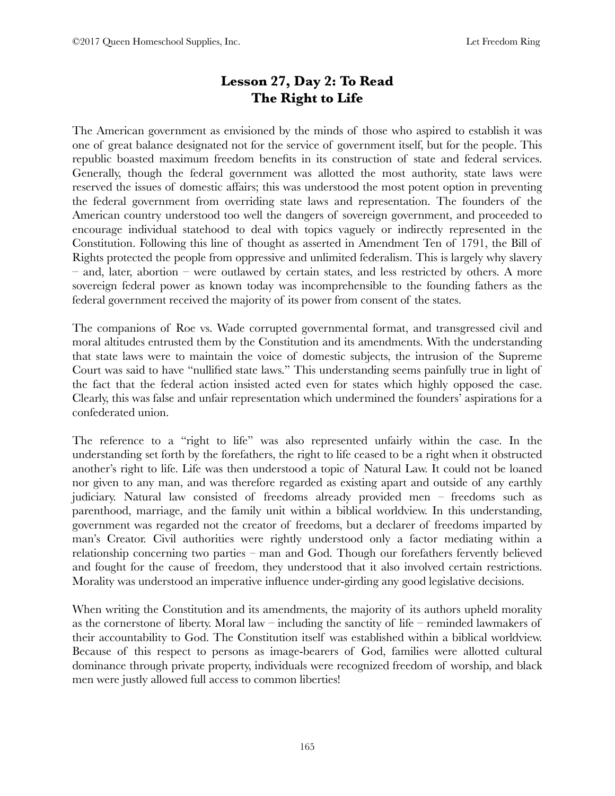# **Lesson 27, Day 2: To Read The Right to Life**

The American government as envisioned by the minds of those who aspired to establish it was one of great balance designated not for the service of government itself, but for the people. This republic boasted maximum freedom benefits in its construction of state and federal services. Generally, though the federal government was allotted the most authority, state laws were reserved the issues of domestic affairs; this was understood the most potent option in preventing the federal government from overriding state laws and representation. The founders of the American country understood too well the dangers of sovereign government, and proceeded to encourage individual statehood to deal with topics vaguely or indirectly represented in the Constitution. Following this line of thought as asserted in Amendment Ten of 1791, the Bill of Rights protected the people from oppressive and unlimited federalism. This is largely why slavery – and, later, abortion – were outlawed by certain states, and less restricted by others. A more sovereign federal power as known today was incomprehensible to the founding fathers as the federal government received the majority of its power from consent of the states.

The companions of Roe vs. Wade corrupted governmental format, and transgressed civil and moral altitudes entrusted them by the Constitution and its amendments. With the understanding that state laws were to maintain the voice of domestic subjects, the intrusion of the Supreme Court was said to have "nullified state laws." This understanding seems painfully true in light of the fact that the federal action insisted acted even for states which highly opposed the case. Clearly, this was false and unfair representation which undermined the founders' aspirations for a confederated union.

The reference to a "right to life" was also represented unfairly within the case. In the understanding set forth by the forefathers, the right to life ceased to be a right when it obstructed another's right to life. Life was then understood a topic of Natural Law. It could not be loaned nor given to any man, and was therefore regarded as existing apart and outside of any earthly judiciary. Natural law consisted of freedoms already provided men – freedoms such as parenthood, marriage, and the family unit within a biblical worldview. In this understanding, government was regarded not the creator of freedoms, but a declarer of freedoms imparted by man's Creator. Civil authorities were rightly understood only a factor mediating within a relationship concerning two parties – man and God. Though our forefathers fervently believed and fought for the cause of freedom, they understood that it also involved certain restrictions. Morality was understood an imperative influence under-girding any good legislative decisions.

When writing the Constitution and its amendments, the majority of its authors upheld morality as the cornerstone of liberty. Moral law – including the sanctity of life – reminded lawmakers of their accountability to God. The Constitution itself was established within a biblical worldview. Because of this respect to persons as image-bearers of God, families were allotted cultural dominance through private property, individuals were recognized freedom of worship, and black men were justly allowed full access to common liberties!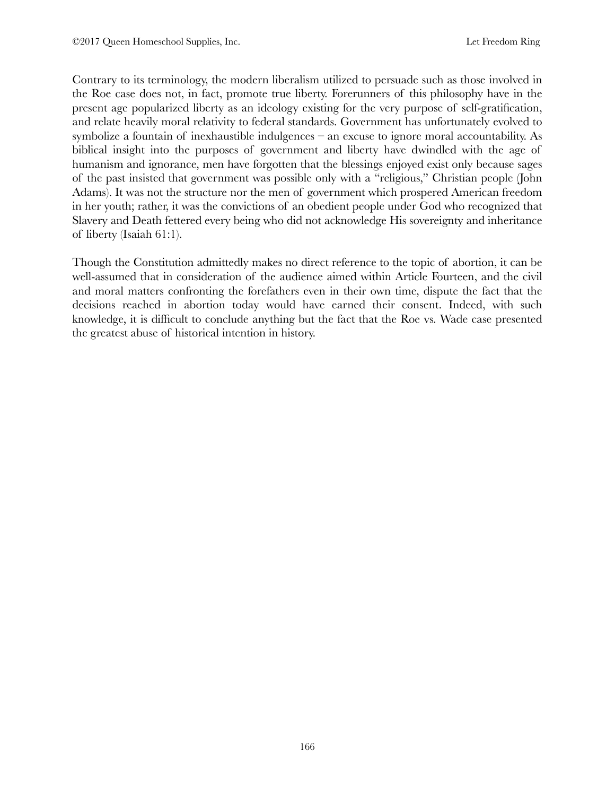Contrary to its terminology, the modern liberalism utilized to persuade such as those involved in the Roe case does not, in fact, promote true liberty. Forerunners of this philosophy have in the present age popularized liberty as an ideology existing for the very purpose of self-gratification, and relate heavily moral relativity to federal standards. Government has unfortunately evolved to symbolize a fountain of inexhaustible indulgences – an excuse to ignore moral accountability. As biblical insight into the purposes of government and liberty have dwindled with the age of humanism and ignorance, men have forgotten that the blessings enjoyed exist only because sages of the past insisted that government was possible only with a "religious," Christian people (John Adams). It was not the structure nor the men of government which prospered American freedom in her youth; rather, it was the convictions of an obedient people under God who recognized that Slavery and Death fettered every being who did not acknowledge His sovereignty and inheritance of liberty (Isaiah 61:1).

Though the Constitution admittedly makes no direct reference to the topic of abortion, it can be well-assumed that in consideration of the audience aimed within Article Fourteen, and the civil and moral matters confronting the forefathers even in their own time, dispute the fact that the decisions reached in abortion today would have earned their consent. Indeed, with such knowledge, it is difficult to conclude anything but the fact that the Roe vs. Wade case presented the greatest abuse of historical intention in history.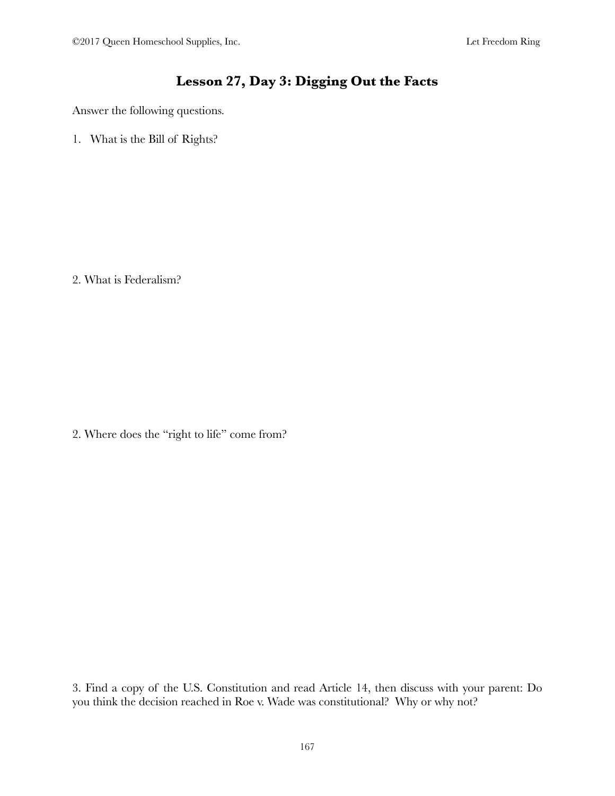### **Lesson 27, Day 3: Digging Out the Facts**

Answer the following questions.

1. What is the Bill of Rights?

2. What is Federalism?

2. Where does the "right to life" come from?

3. Find a copy of the U.S. Constitution and read Article 14, then discuss with your parent: Do you think the decision reached in Roe v. Wade was constitutional? Why or why not?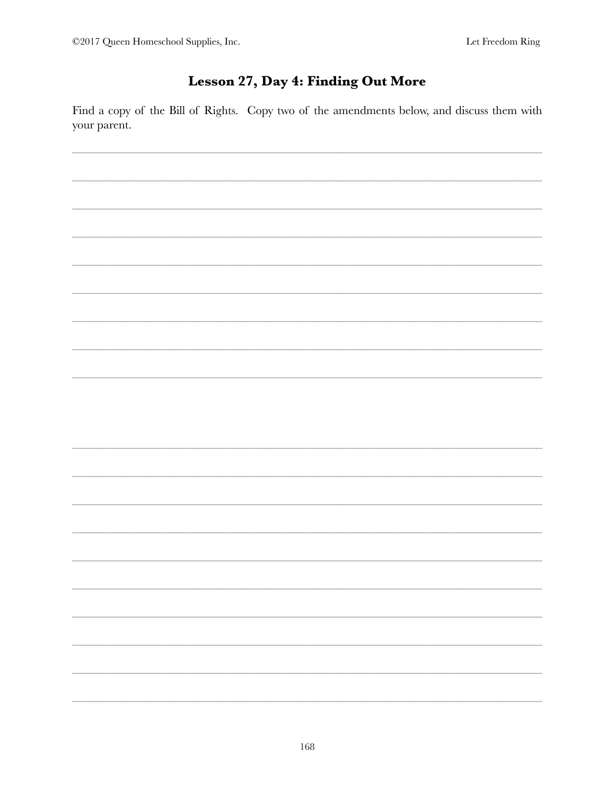# Lesson 27, Day 4: Finding Out More

Find a copy of the Bill of Rights. Copy two of the amendments below, and discuss them with your parent.